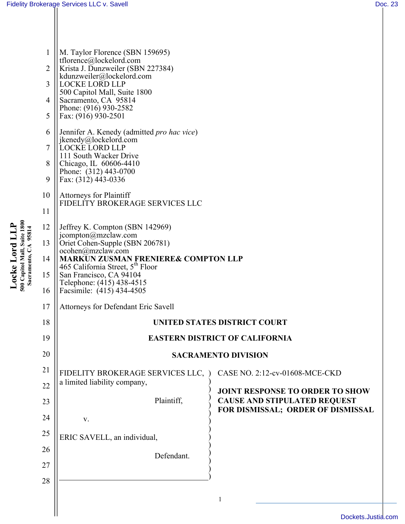| $\mathbf{1}$<br>$\overline{2}$<br>3<br>4<br>5<br>6<br>7<br>8 | M. Taylor Florence (SBN 159695)<br>tflorence@lockelord.com<br>Krista J. Dunzweiler (SBN 227384)<br>kdunzweiler@lockelord.com<br><b>LOCKE LORD LLP</b><br>500 Capitol Mall, Suite 1800<br>Sacramento, CA 95814<br>Phone: (916) 930-2582<br>Fax: (916) 930-2501<br>Jennifer A. Kenedy (admitted pro hac vice)<br>jkenedy@lockelord.com<br>LOCKE LORD LLP<br>111 South Wacker Drive<br>Chicago, IL 60606-4410 |                                                                          |
|--------------------------------------------------------------|------------------------------------------------------------------------------------------------------------------------------------------------------------------------------------------------------------------------------------------------------------------------------------------------------------------------------------------------------------------------------------------------------------|--------------------------------------------------------------------------|
| 9                                                            | Phone: (312) 443-0700<br>Fax: (312) 443-0336                                                                                                                                                                                                                                                                                                                                                               |                                                                          |
| 10                                                           | <b>Attorneys for Plaintiff</b>                                                                                                                                                                                                                                                                                                                                                                             |                                                                          |
| 11                                                           | FIDELITY BROKERAGE SERVICES LLC                                                                                                                                                                                                                                                                                                                                                                            |                                                                          |
| 12                                                           | Jeffrey K. Compton (SBN 142969)                                                                                                                                                                                                                                                                                                                                                                            |                                                                          |
| 13                                                           | jcompton@mzclaw.com<br>Oriet Cohen-Supple (SBN 206781)                                                                                                                                                                                                                                                                                                                                                     |                                                                          |
| 14                                                           | ocohen@mzclaw.com<br><b>MARKUN ZUSMAN FRENIERE&amp; COMPTON LLP</b>                                                                                                                                                                                                                                                                                                                                        |                                                                          |
| 15                                                           | 465 California Street, $5th$ Floor<br>San Francisco, CA 94104                                                                                                                                                                                                                                                                                                                                              |                                                                          |
| 16                                                           | Telephone: (415) 438-4515<br>Facsimile: (415) 434-4505                                                                                                                                                                                                                                                                                                                                                     |                                                                          |
| 17                                                           | Attorneys for Defendant Eric Savell                                                                                                                                                                                                                                                                                                                                                                        |                                                                          |
| 18                                                           | UNITED STATES DISTRICT COURT                                                                                                                                                                                                                                                                                                                                                                               |                                                                          |
| 19                                                           | <b>EASTERN DISTRICT OF CALIFORNIA</b>                                                                                                                                                                                                                                                                                                                                                                      |                                                                          |
| 20                                                           | <b>SACRAMENTO DIVISION</b>                                                                                                                                                                                                                                                                                                                                                                                 |                                                                          |
| 21                                                           | FIDELITY BROKERAGE SERVICES LLC, )                                                                                                                                                                                                                                                                                                                                                                         | CASE NO. 2:12-cv-01608-MCE-CKD                                           |
| 22                                                           | a limited liability company,                                                                                                                                                                                                                                                                                                                                                                               | <b>JOINT RESPONSE TO ORDER TO SHOW</b>                                   |
| 23                                                           | Plaintiff,                                                                                                                                                                                                                                                                                                                                                                                                 | <b>CAUSE AND STIPULATED REQUEST</b><br>FOR DISMISSAL; ORDER OF DISMISSAL |
| 24                                                           | V.                                                                                                                                                                                                                                                                                                                                                                                                         |                                                                          |
| 25                                                           | ERIC SAVELL, an individual,                                                                                                                                                                                                                                                                                                                                                                                |                                                                          |
| 26                                                           | Defendant.                                                                                                                                                                                                                                                                                                                                                                                                 |                                                                          |
| 27                                                           |                                                                                                                                                                                                                                                                                                                                                                                                            |                                                                          |
| 28                                                           |                                                                                                                                                                                                                                                                                                                                                                                                            |                                                                          |
|                                                              |                                                                                                                                                                                                                                                                                                                                                                                                            | 1                                                                        |
|                                                              |                                                                                                                                                                                                                                                                                                                                                                                                            |                                                                          |

Locke Lord LLP<br>500 Capitol Mall, Suite 1800<br>Sacramento, CA 95814 **500 Capitol Mall, Suite 1800 Locke Lord LLP Sacramento, CA 95814**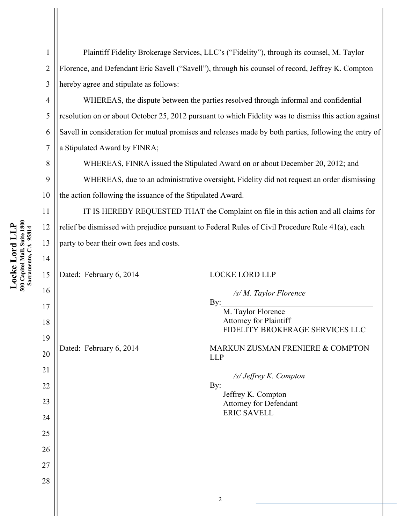6 7 8 9 10 11 Locke Lord LLP<br>500 Capitol Mall, Suite 1800<br>Sacramento, CA 95814

12

13

14

**Locke Lord LLP 500 Capitol Mall, Suite 1800 Sacramento, CA 95814** 1

2

3

4

5

Plaintiff Fidelity Brokerage Services, LLC's ("Fidelity"), through its counsel, M. Taylor Florence, and Defendant Eric Savell ("Savell"), through his counsel of record, Jeffrey K. Compton hereby agree and stipulate as follows:

WHEREAS, the dispute between the parties resolved through informal and confidential resolution on or about October 25, 2012 pursuant to which Fidelity was to dismiss this action against Savell in consideration for mutual promises and releases made by both parties, following the entry of a Stipulated Award by FINRA;

WHEREAS, FINRA issued the Stipulated Award on or about December 20, 2012; and

WHEREAS, due to an administrative oversight, Fidelity did not request an order dismissing the action following the issuance of the Stipulated Award.

IT IS HEREBY REQUESTED THAT the Complaint on file in this action and all claims for relief be dismissed with prejudice pursuant to Federal Rules of Civil Procedure Rule 41(a), each party to bear their own fees and costs.

15 16 17 18 19 20 21 22 23 24 25 26 27 28 2 Dated: February 6, 2014 LOCKE LORD LLP */s/ M. Taylor Florence* By: M. Taylor Florence Attorney for Plaintiff FIDELITY BROKERAGE SERVICES LLC Dated: February 6, 2014 MARKUN ZUSMAN FRENIERE & COMPTON LLP */s/ Jeffrey K. Compton* By: Jeffrey K. Compton Attorney for Defendant ERIC SAVELL